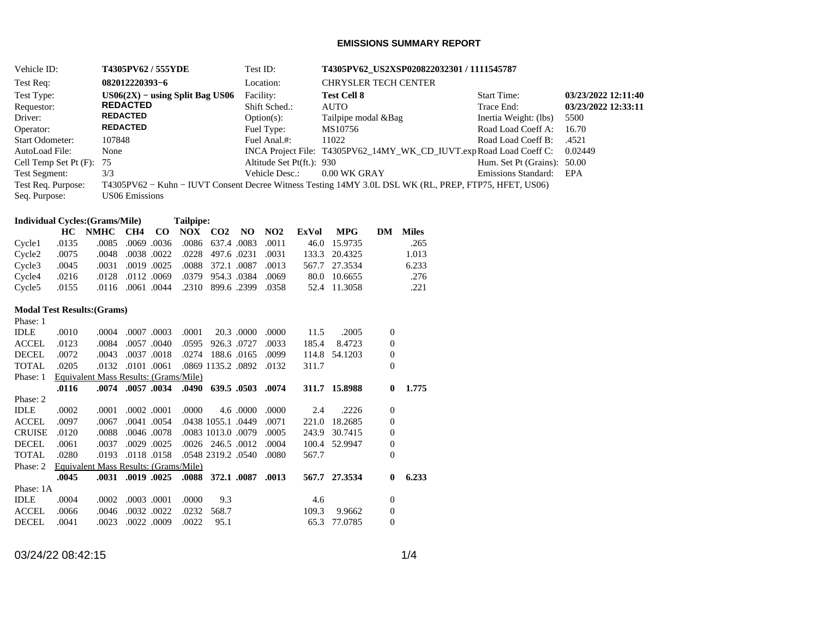## **EMISSIONS SUMMARY REPORT**

| Vehicle ID:                                                                                 |                        |                                        | T4305PV62 / 555YDE |                                   |           |           |                          | Test ID:   |                           | T4305PV62_US2XSP020822032301 / 1111545787 |                             |                  |                 |                                                                                                       |                     |
|---------------------------------------------------------------------------------------------|------------------------|----------------------------------------|--------------------|-----------------------------------|-----------|-----------|--------------------------|------------|---------------------------|-------------------------------------------|-----------------------------|------------------|-----------------|-------------------------------------------------------------------------------------------------------|---------------------|
| Test Req:                                                                                   |                        |                                        |                    | 082012220393-6                    |           |           |                          |            | Location:                 |                                           | <b>CHRYSLER TECH CENTER</b> |                  |                 |                                                                                                       |                     |
| Test Type:                                                                                  |                        |                                        |                    | $US06(2X) - using Split Bag US06$ |           |           |                          |            | Facility:                 |                                           | <b>Test Cell 8</b>          |                  |                 | <b>Start Time:</b>                                                                                    | 03/23/2022 12:11:40 |
| Requestor:                                                                                  |                        |                                        |                    | <b>REDACTED</b>                   |           |           |                          |            | Shift Sched.:             |                                           | <b>AUTO</b>                 |                  |                 | Trace End:                                                                                            | 03/23/2022 12:33:11 |
|                                                                                             | Driver:                |                                        |                    | <b>REDACTED</b>                   |           |           |                          |            | $Option(s)$ :             |                                           | Tailpipe modal &Bag         |                  |                 | Inertia Weight: (lbs)                                                                                 | 5500                |
|                                                                                             | Operator:              |                                        |                    | <b>REDACTED</b>                   |           |           |                          |            | Fuel Type:                |                                           | MS10756                     |                  |                 | Road Load Coeff A:                                                                                    | 16.70               |
|                                                                                             | <b>Start Odometer:</b> |                                        |                    | 107848                            |           |           |                          |            | Fuel Anal.#:              |                                           | 11022                       |                  |                 | Road Load Coeff B:                                                                                    | .4521               |
|                                                                                             | AutoLoad File:         |                                        |                    | None                              |           |           |                          |            |                           |                                           |                             |                  |                 | INCA Project File: T4305PV62_14MY_WK_CD_IUVT.expRoad Load Coeff C:                                    | 0.02449             |
|                                                                                             |                        | Cell Temp Set Pt (F):                  | 75                 |                                   |           |           |                          |            | Altitude Set Pt(ft.): 930 |                                           |                             |                  |                 | Hum. Set Pt (Grains): 50.00                                                                           |                     |
|                                                                                             | <b>Test Segment:</b>   |                                        | 3/3                |                                   |           |           |                          |            | Vehicle Desc.:            |                                           | 0.00 WK GRAY                |                  |                 | Emissions Standard:                                                                                   | EPA                 |
|                                                                                             | Test Req. Purpose:     |                                        |                    |                                   |           |           |                          |            |                           |                                           |                             |                  |                 | T4305PV62 - Kuhn - IUVT Consent Decree Witness Testing 14MY 3.0L DSL WK (RL, PREP, FTP75, HFET, US06) |                     |
|                                                                                             | Seq. Purpose:          |                                        |                    | <b>US06 Emissions</b>             |           |           |                          |            |                           |                                           |                             |                  |                 |                                                                                                       |                     |
|                                                                                             |                        |                                        |                    |                                   |           |           |                          |            |                           |                                           |                             |                  |                 |                                                                                                       |                     |
|                                                                                             |                        | <b>Individual Cycles:</b> (Grams/Mile) |                    |                                   |           | Tailpipe: |                          |            |                           |                                           |                             |                  |                 |                                                                                                       |                     |
|                                                                                             |                        | HC NMHC                                |                    | CH4                               | $\bf{CO}$ |           | NOX CO2 NO               |            | NO <sub>2</sub>           | <b>ExVol</b>                              | <b>MPG</b>                  |                  | <b>DM</b> Miles |                                                                                                       |                     |
|                                                                                             | Cycle1                 | .0135                                  | .0085              | .0069.0036                        |           |           | .0086 637.4 .0083        |            | .0011                     |                                           | 46.0 15.9735                |                  | .265            |                                                                                                       |                     |
|                                                                                             | Cycle <sub>2</sub>     | .0075                                  | .0048              | .0038.0022                        |           | .0228     | 497.6 .0231              |            | .0031                     |                                           | 133.3 20.4325               |                  | 1.013           |                                                                                                       |                     |
|                                                                                             | Cycle3                 | .0045                                  | .0031              | .0019 .0025                       |           | .0088     | 372.1 .0087              |            | .0013                     |                                           | 567.7 27.3534               |                  | 6.233           |                                                                                                       |                     |
|                                                                                             | Cycle4                 | .0216                                  | .0128              | .0112 .0069                       |           | .0379     | 954.3 .0384              |            | .0069                     |                                           | 80.0 10.6655                |                  | .276            |                                                                                                       |                     |
|                                                                                             | Cycle5                 | .0155                                  |                    | .0116 .0061 .0044                 |           |           | .2310 899.6 .2399        |            | .0358                     |                                           | 52.4 11.3058                |                  | .221            |                                                                                                       |                     |
|                                                                                             |                        |                                        |                    |                                   |           |           |                          |            |                           |                                           |                             |                  |                 |                                                                                                       |                     |
|                                                                                             |                        | <b>Modal Test Results: (Grams)</b>     |                    |                                   |           |           |                          |            |                           |                                           |                             |                  |                 |                                                                                                       |                     |
|                                                                                             | Phase: 1               |                                        |                    |                                   |           |           |                          |            |                           |                                           |                             |                  |                 |                                                                                                       |                     |
|                                                                                             | <b>IDLE</b>            | .0010                                  | .0004              | .0007.0003                        |           | .0001     |                          | 20.3 .0000 | .0000                     | 11.5                                      | .2005                       | $\boldsymbol{0}$ |                 |                                                                                                       |                     |
|                                                                                             | $\operatorname{ACCEL}$ | .0123                                  | .0084              | .0057 .0040                       |           | .0595     | 926.3 .0727              |            | .0033                     | 185.4                                     | 8.4723                      | 0                |                 |                                                                                                       |                     |
|                                                                                             | <b>DECEL</b>           | .0072                                  | .0043              | .0037.0018                        |           |           | .0274 188.6 .0165        |            | .0099                     |                                           | 114.8 54.1203               | $\boldsymbol{0}$ |                 |                                                                                                       |                     |
|                                                                                             | <b>TOTAL</b>           | .0205                                  | .0132              | .0101 .0061                       |           |           | .0869 1135.2 .0892 .0132 |            |                           | 311.7                                     |                             | $\overline{0}$   |                 |                                                                                                       |                     |
|                                                                                             | Phase: 1               | Equivalent Mass Results: (Grams/Mile)  |                    |                                   |           |           |                          |            |                           |                                           |                             |                  |                 |                                                                                                       |                     |
|                                                                                             |                        | .0116                                  |                    | .0074 .0057 .0034                 |           |           | .0490 639.5 .0503 .0074  |            |                           |                                           | 311.7 15.8988               | $\bf{0}$         | 1.775           |                                                                                                       |                     |
|                                                                                             | Phase: 2               |                                        |                    |                                   |           |           |                          |            |                           |                                           |                             |                  |                 |                                                                                                       |                     |
|                                                                                             | <b>IDLE</b>            | .0002                                  | .0001              | .0002.0001                        |           | .0000     |                          | 4.6 .0000  | .0000                     | 2.4                                       | .2226                       | $\boldsymbol{0}$ |                 |                                                                                                       |                     |
|                                                                                             | <b>ACCEL</b>           | .0097                                  | .0067              | .0041 .0054                       |           |           | .0438 1055.1 .0449       |            | .0071                     | 221.0                                     | 18.2685                     | 0                |                 |                                                                                                       |                     |
|                                                                                             | <b>CRUISE</b>          | .0120                                  | .0088              | .0046 .0078                       |           |           | .0083 1013.0 .0079       |            | .0005                     |                                           | 243.9 30.7415               | 0                |                 |                                                                                                       |                     |
|                                                                                             | <b>DECEL</b>           | .0061                                  | .0037              | .0029.0025                        |           |           | .0026 246.5 .0012        |            | .0004                     |                                           | 100.4 52.9947               | $\boldsymbol{0}$ |                 |                                                                                                       |                     |
|                                                                                             | <b>TOTAL</b>           | .0280                                  | .0193              | .0118 .0158                       |           |           | .0548 2319.2 .0540       |            | .0080                     | 567.7                                     |                             | $\overline{0}$   |                 |                                                                                                       |                     |
| Phase: 2<br>Equivalent Mass Results: (Grams/Mile)<br>.0031 .0019 .0025<br>.0088 372.1 .0087 |                        |                                        |                    |                                   |           |           | .0013                    |            | 567.7 27.3534             |                                           |                             |                  |                 |                                                                                                       |                     |
|                                                                                             | Phase: 1A              | .0045                                  |                    |                                   |           |           |                          |            |                           |                                           |                             | $\bf{0}$         | 6.233           |                                                                                                       |                     |
|                                                                                             | <b>IDLE</b>            | .0004                                  | .0002              | .0003 .0001                       |           | .0000     | 9.3                      |            |                           | 4.6                                       |                             | $\boldsymbol{0}$ |                 |                                                                                                       |                     |
|                                                                                             | <b>ACCEL</b>           | .0066                                  | .0046              | .0032.0022                        |           | .0232     | 568.7                    |            |                           | 109.3                                     | 9.9662                      | $\boldsymbol{0}$ |                 |                                                                                                       |                     |
|                                                                                             | <b>DECEL</b>           | .0041                                  | .0023              | .0022 .0009                       |           | .0022     | 95.1                     |            |                           |                                           | 65.3 77.0785                | 0                |                 |                                                                                                       |                     |
|                                                                                             |                        |                                        |                    |                                   |           |           |                          |            |                           |                                           |                             |                  |                 |                                                                                                       |                     |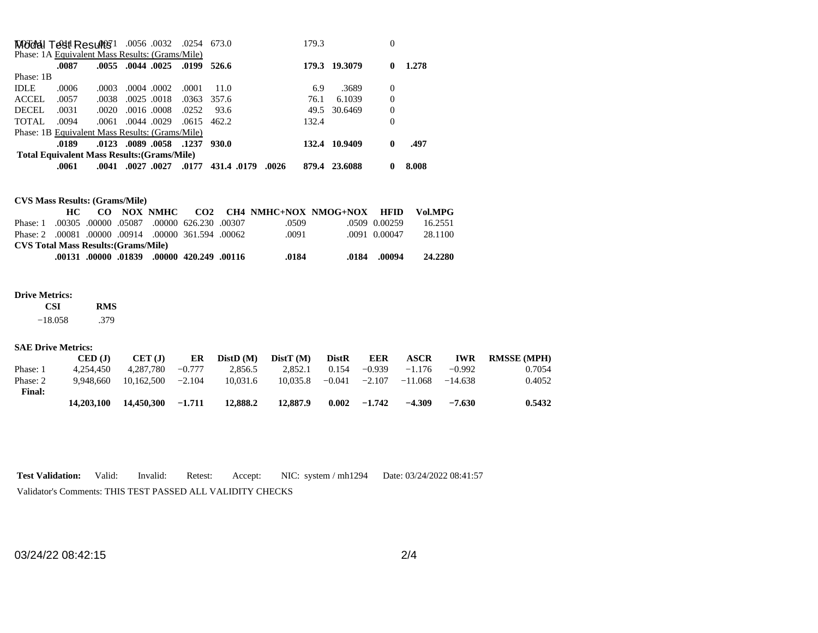| <b>MOdel Test Results</b> 1 .0056 .0032 .0254 673.0 |                                                    |       |                         |                   |               |                     | 179.3 |               | 0            |       |
|-----------------------------------------------------|----------------------------------------------------|-------|-------------------------|-------------------|---------------|---------------------|-------|---------------|--------------|-------|
| Phase: 1A Equivalent Mass Results: (Grams/Mile)     |                                                    |       |                         |                   |               |                     |       |               |              |       |
|                                                     | .0087                                              |       | .0055 .0044 .0025       |                   | .0199 526.6   |                     | 179.3 | 19.3079       | 0            | 1.278 |
| Phase: 1B                                           |                                                    |       |                         |                   |               |                     |       |               |              |       |
| <b>IDLE</b>                                         | .0006                                              | .0003 |                         | .0004.0002        | .0001         | 11.0                | 6.9   | .3689         | $\Omega$     |       |
| ACCEL                                               | .0057                                              | .0038 |                         | $.0025$ $.0018$   | .0363         | 357.6               | 76.1  | 6.1039        | $\Omega$     |       |
| <b>DECEL</b>                                        | .0031                                              | .0020 |                         | $.0016$ $.0008$   | .0252         | 93.6                | 49.5  | 30.6469       | $\Omega$     |       |
| TOTAL                                               | .0094                                              |       | $.0061$ $.0044$ $.0029$ |                   | $.0615$ 462.2 |                     | 132.4 |               | 0            |       |
| Phase: 1B Equivalent Mass Results: (Grams/Mile)     |                                                    |       |                         |                   |               |                     |       |               |              |       |
|                                                     | .0189                                              |       |                         | .0123 .0089 .0058 | .1237         | 930.0               |       | 132.4 10.9409 | $\mathbf{0}$ | .497  |
|                                                     | <b>Total Equivalent Mass Results: (Grams/Mile)</b> |       |                         |                   |               |                     |       |               |              |       |
|                                                     | .0061                                              | .0041 | .0027.0027              |                   | .0177         | .0026<br>431.4.0179 | 879.4 | 23.6088       |              | 8.008 |

**CVS Mass Results: (Grams/Mile)**

|                                                     |  |  |  |  |                                            |  |       | CO NOX NMHC CO2 CH4 NMHC+NOX NMOG+NOX HFID |               | Vol.MPG |
|-----------------------------------------------------|--|--|--|--|--------------------------------------------|--|-------|--------------------------------------------|---------------|---------|
| Phase: 1                                            |  |  |  |  | .00305 .00000 .05087 .00000 626.230 .00307 |  | .0509 |                                            | .0509 0.00259 | 16.2551 |
| Phase: 2 .00081 .00000 .00914 .00000 361.594 .00062 |  |  |  |  |                                            |  | .0091 |                                            | .0091 0.00047 | 28.1100 |
| <b>CVS Total Mass Results: (Grams/Mile)</b>         |  |  |  |  |                                            |  |       |                                            |               |         |
|                                                     |  |  |  |  | .00131 .00000. 01839 .00000 .01839         |  | .0184 | .0184                                      | .00094        | 24.2280 |

## **Drive Metrics:**

 **CSI RMS**   $-18.058$ .379

## **SAE Drive Metrics:**

|               | CED (J)    | CET (J)    | ER       | DistD(M) | DistT(M) | <b>DistR</b> | EER      | <b>ASCR</b> | <b>IWR</b> | <b>RMSSE (MPH)</b> |
|---------------|------------|------------|----------|----------|----------|--------------|----------|-------------|------------|--------------------|
| Phase: 1      | 4.254.450  | 4.287.780  | $-0.777$ | 2.856.5  | 2.852.1  | 0.154        | $-0.939$ | $-1.176$    | $-0.992$   | 0.7054             |
| Phase: 2      | 9.948.660  | 10.162.500 | $-2.104$ | 10.031.6 | 10.035.8 | $-0.041$     | $-2.107$ | $-11.068$   | $-14.638$  | 0.4052             |
| <b>Final:</b> |            |            |          |          |          |              |          |             |            |                    |
|               | 14.203.100 | 14,450,300 | $-1.711$ | 12,888.2 | 12,887.9 | 0.002        | $-1.742$ | $-4.309$    | $-7.630$   | 0.5432             |

**Test Validation:** Valid: Invalid: Retest: Accept: NIC: system / mh1294 Date: 03/24/2022 08:41:57 Validator's Comments: THIS TEST PASSED ALL VALIDITY CHECKS

03/24/22 08:42:15 2/4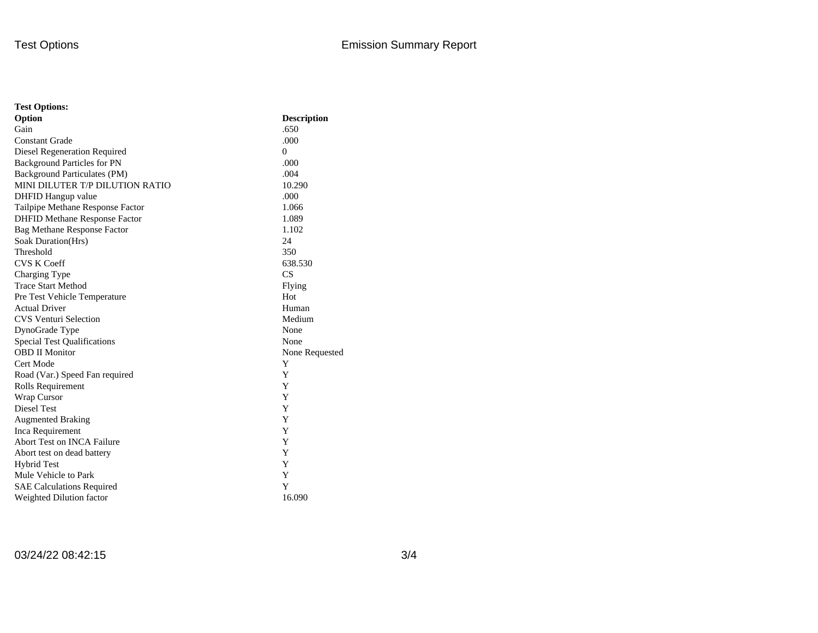| <b>Test Options:</b>                 |                    |  |  |  |  |
|--------------------------------------|--------------------|--|--|--|--|
| Option                               | <b>Description</b> |  |  |  |  |
| Gain                                 | .650               |  |  |  |  |
| <b>Constant Grade</b>                | .000               |  |  |  |  |
| Diesel Regeneration Required         | $\theta$           |  |  |  |  |
| <b>Background Particles for PN</b>   | .000               |  |  |  |  |
| Background Particulates (PM)         | .004               |  |  |  |  |
| MINI DILUTER T/P DILUTION RATIO      | 10.290             |  |  |  |  |
| DHFID Hangup value                   | .000               |  |  |  |  |
| Tailpipe Methane Response Factor     | 1.066              |  |  |  |  |
| <b>DHFID Methane Response Factor</b> | 1.089              |  |  |  |  |
| <b>Bag Methane Response Factor</b>   | 1.102              |  |  |  |  |
| Soak Duration(Hrs)                   | 24                 |  |  |  |  |
| Threshold                            | 350                |  |  |  |  |
| <b>CVS K Coeff</b>                   | 638.530            |  |  |  |  |
| Charging Type                        | CS                 |  |  |  |  |
| <b>Trace Start Method</b>            | Flying             |  |  |  |  |
| Pre Test Vehicle Temperature         | Hot                |  |  |  |  |
| <b>Actual Driver</b>                 | Human              |  |  |  |  |
| <b>CVS Venturi Selection</b>         | Medium             |  |  |  |  |
| DynoGrade Type                       | None               |  |  |  |  |
| <b>Special Test Qualifications</b>   | None               |  |  |  |  |
| <b>OBD II Monitor</b>                | None Requested     |  |  |  |  |
| Cert Mode                            | Y                  |  |  |  |  |
| Road (Var.) Speed Fan required       | Y                  |  |  |  |  |
| Rolls Requirement                    | Y                  |  |  |  |  |
| Wrap Cursor                          | Y                  |  |  |  |  |
| Diesel Test                          | Y                  |  |  |  |  |
| <b>Augmented Braking</b>             | Y                  |  |  |  |  |
| Inca Requirement                     | Y                  |  |  |  |  |
| <b>Abort Test on INCA Failure</b>    | Y                  |  |  |  |  |
| Abort test on dead battery           | Y                  |  |  |  |  |
| <b>Hybrid Test</b>                   | Y                  |  |  |  |  |
| Mule Vehicle to Park                 | Y                  |  |  |  |  |
| <b>SAE Calculations Required</b>     | Y                  |  |  |  |  |
| Weighted Dilution factor             | 16.090             |  |  |  |  |